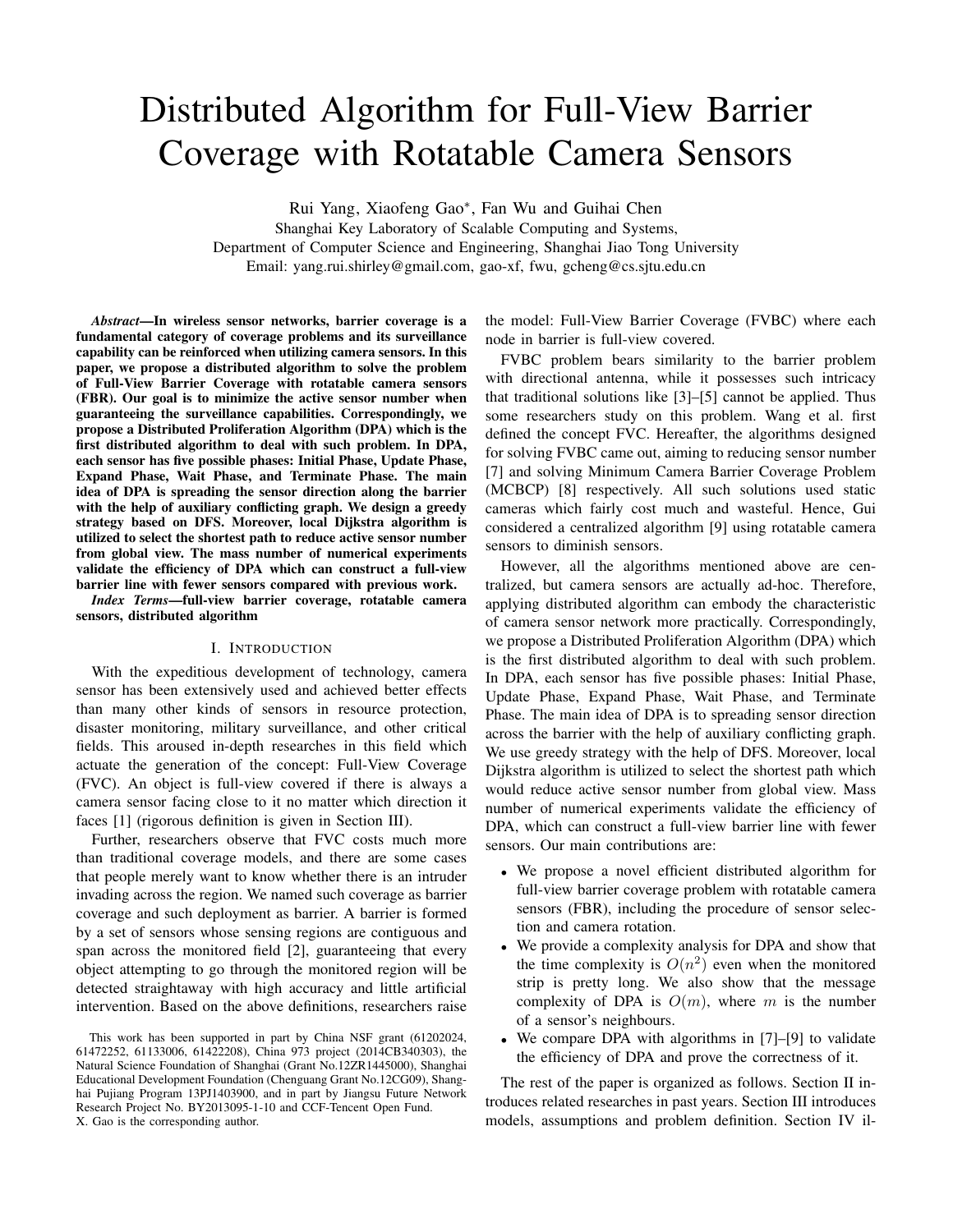# Distributed Algorithm for Full-View Barrier Coverage with Rotatable Camera Sensors

Rui Yang, Xiaofeng Gao<sup>∗</sup> , Fan Wu and Guihai Chen

Shanghai Key Laboratory of Scalable Computing and Systems,

Department of Computer Science and Engineering, Shanghai Jiao Tong University

Email: yang.rui.shirley@gmail.com, gao-xf, fwu, gcheng@cs.sjtu.edu.cn

*Abstract*—In wireless sensor networks, barrier coverage is a fundamental category of coverage problems and its surveillance capability can be reinforced when utilizing camera sensors. In this paper, we propose a distributed algorithm to solve the problem of Full-View Barrier Coverage with rotatable camera sensors (FBR). Our goal is to minimize the active sensor number when guaranteeing the surveillance capabilities. Correspondingly, we propose a Distributed Proliferation Algorithm (DPA) which is the first distributed algorithm to deal with such problem. In DPA, each sensor has five possible phases: Initial Phase, Update Phase, Expand Phase, Wait Phase, and Terminate Phase. The main idea of DPA is spreading the sensor direction along the barrier with the help of auxiliary conflicting graph. We design a greedy strategy based on DFS. Moreover, local Dijkstra algorithm is utilized to select the shortest path to reduce active sensor number from global view. The mass number of numerical experiments validate the efficiency of DPA which can construct a full-view barrier line with fewer sensors compared with previous work.

*Index Terms*—full-view barrier coverage, rotatable camera sensors, distributed algorithm

#### I. INTRODUCTION

With the expeditious development of technology, camera sensor has been extensively used and achieved better effects than many other kinds of sensors in resource protection, disaster monitoring, military surveillance, and other critical fields. This aroused in-depth researches in this field which actuate the generation of the concept: Full-View Coverage (FVC). An object is full-view covered if there is always a camera sensor facing close to it no matter which direction it faces [1] (rigorous definition is given in Section III).

Further, researchers observe that FVC costs much more than traditional coverage models, and there are some cases that people merely want to know whether there is an intruder invading across the region. We named such coverage as barrier coverage and such deployment as barrier. A barrier is formed by a set of sensors whose sensing regions are contiguous and span across the monitored field [2], guaranteeing that every object attempting to go through the monitored region will be detected straightaway with high accuracy and little artificial intervention. Based on the above definitions, researchers raise the model: Full-View Barrier Coverage (FVBC) where each node in barrier is full-view covered.

FVBC problem bears similarity to the barrier problem with directional antenna, while it possesses such intricacy that traditional solutions like [3]–[5] cannot be applied. Thus some researchers study on this problem. Wang et al. first defined the concept FVC. Hereafter, the algorithms designed for solving FVBC came out, aiming to reducing sensor number [7] and solving Minimum Camera Barrier Coverage Problem (MCBCP) [8] respectively. All such solutions used static cameras which fairly cost much and wasteful. Hence, Gui considered a centralized algorithm [9] using rotatable camera sensors to diminish sensors.

However, all the algorithms mentioned above are centralized, but camera sensors are actually ad-hoc. Therefore, applying distributed algorithm can embody the characteristic of camera sensor network more practically. Correspondingly, we propose a Distributed Proliferation Algorithm (DPA) which is the first distributed algorithm to deal with such problem. In DPA, each sensor has five possible phases: Initial Phase, Update Phase, Expand Phase, Wait Phase, and Terminate Phase. The main idea of DPA is to spreading sensor direction across the barrier with the help of auxiliary conflicting graph. We use greedy strategy with the help of DFS. Moreover, local Dijkstra algorithm is utilized to select the shortest path which would reduce active sensor number from global view. Mass number of numerical experiments validate the efficiency of DPA, which can construct a full-view barrier line with fewer sensors. Our main contributions are:

- We propose a novel efficient distributed algorithm for full-view barrier coverage problem with rotatable camera sensors (FBR), including the procedure of sensor selection and camera rotation.
- We provide a complexity analysis for DPA and show that the time complexity is  $O(n^2)$  even when the monitored strip is pretty long. We also show that the message complexity of DPA is  $O(m)$ , where m is the number of a sensor's neighbours.
- We compare DPA with algorithms in [7]–[9] to validate the efficiency of DPA and prove the correctness of it.

The rest of the paper is organized as follows. Section II introduces related researches in past years. Section III introduces models, assumptions and problem definition. Section IV il-

This work has been supported in part by China NSF grant (61202024, 61472252, 61133006, 61422208), China 973 project (2014CB340303), the Natural Science Foundation of Shanghai (Grant No.12ZR1445000), Shanghai Educational Development Foundation (Chenguang Grant No.12CG09), Shanghai Pujiang Program 13PJ1403900, and in part by Jiangsu Future Network Research Project No. BY2013095-1-10 and CCF-Tencent Open Fund. X. Gao is the corresponding author.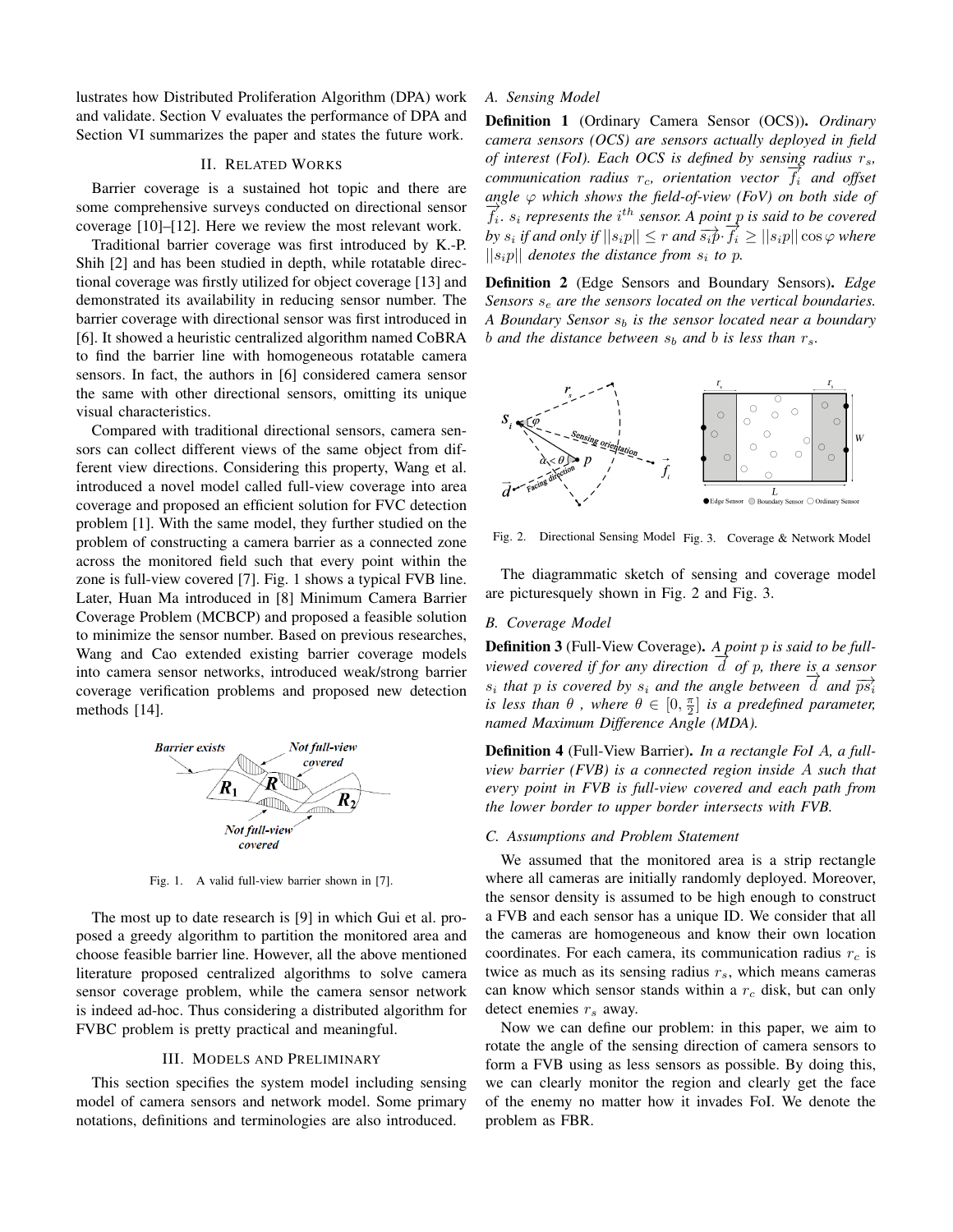lustrates how Distributed Proliferation Algorithm (DPA) work and validate. Section V evaluates the performance of DPA and Section VI summarizes the paper and states the future work.

# II. RELATED WORKS

Barrier coverage is a sustained hot topic and there are some comprehensive surveys conducted on directional sensor coverage [10]–[12]. Here we review the most relevant work.

Traditional barrier coverage was first introduced by K.-P. Shih [2] and has been studied in depth, while rotatable directional coverage was firstly utilized for object coverage [13] and demonstrated its availability in reducing sensor number. The barrier coverage with directional sensor was first introduced in [6]. It showed a heuristic centralized algorithm named CoBRA to find the barrier line with homogeneous rotatable camera sensors. In fact, the authors in [6] considered camera sensor the same with other directional sensors, omitting its unique visual characteristics.

Compared with traditional directional sensors, camera sensors can collect different views of the same object from different view directions. Considering this property, Wang et al. introduced a novel model called full-view coverage into area coverage and proposed an efficient solution for FVC detection problem [1]. With the same model, they further studied on the problem of constructing a camera barrier as a connected zone across the monitored field such that every point within the zone is full-view covered [7]. Fig. 1 shows a typical FVB line. Later, Huan Ma introduced in [8] Minimum Camera Barrier Coverage Problem (MCBCP) and proposed a feasible solution to minimize the sensor number. Based on previous researches, Wang and Cao extended existing barrier coverage models into camera sensor networks, introduced weak/strong barrier coverage verification problems and proposed new detection methods [14].



Fig. 1. A valid full-view barrier shown in [7].

The most up to date research is [9] in which Gui et al. proposed a greedy algorithm to partition the monitored area and choose feasible barrier line. However, all the above mentioned literature proposed centralized algorithms to solve camera sensor coverage problem, while the camera sensor network is indeed ad-hoc. Thus considering a distributed algorithm for FVBC problem is pretty practical and meaningful.

# III. MODELS AND PRELIMINARY

This section specifies the system model including sensing model of camera sensors and network model. Some primary notations, definitions and terminologies are also introduced.

### *A. Sensing Model*

Definition 1 (Ordinary Camera Sensor (OCS)). *Ordinary camera sensors (OCS) are sensors actually deployed in field of interest (FoI). Each OCS is defined by sensing radius*  $r_s$ ,  $\sigma_{\text{inversion}}$  (101). Each OCS is acjued by sensing radius  $\tau_s$ , communication radius  $r_c$ , orientation vector  $\vec{f}_i$  and offset *angle*  $\varphi$  *which shows the field-of-view (FoV) on both side of*  $\overrightarrow{f_i}$ *. s<sub>i</sub> represents the i*<sup>th</sup> *sensor. A point p is said to be covered by*  $s_i$  *if and only if*  $||s_i p|| \leq r$  *and*  $\overline{s_i p} \cdot \overline{f_i} \geq ||s_i p|| \cos \varphi$  *where*  $||s_i p||$  *denotes the distance from*  $s_i$  to  $p$ .

Definition 2 (Edge Sensors and Boundary Sensors). *Edge* Sensors  $s_e$  are the sensors located on the vertical boundaries. *A Boundary Sensor*  $s_b$  *is the sensor located near a boundary* b and the distance between  $s_b$  and b is less than  $r_s$ .



Fig. 2. Directional Sensing Model Fig. 3. Coverage & Network Model

The diagrammatic sketch of sensing and coverage model are picturesquely shown in Fig. 2 and Fig. 3.

#### *B. Coverage Model*

Definition 3 (Full-View Coverage). *A point* p *is said to be full-* $\frac{d}{dx}$  *viewed covered if for any direction*  $\overrightarrow{d}$  *of p, there is a sensor si* that p is covered by  $s_i$  and the angle between  $\overrightarrow{d}$  and  $\overrightarrow{ps_i}$ *is less than*  $\theta$ , where  $\theta \in [0, \frac{\pi}{2}]$  *is a predefined parameter, named Maximum Difference Angle (MDA).*

Definition 4 (Full-View Barrier). *In a rectangle FoI* A*, a fullview barrier (FVB) is a connected region inside* A *such that every point in FVB is full-view covered and each path from the lower border to upper border intersects with FVB.*

# *C. Assumptions and Problem Statement*

We assumed that the monitored area is a strip rectangle where all cameras are initially randomly deployed. Moreover, the sensor density is assumed to be high enough to construct a FVB and each sensor has a unique ID. We consider that all the cameras are homogeneous and know their own location coordinates. For each camera, its communication radius  $r_c$  is twice as much as its sensing radius  $r<sub>s</sub>$ , which means cameras can know which sensor stands within a  $r_c$  disk, but can only detect enemies  $r_s$  away.

Now we can define our problem: in this paper, we aim to rotate the angle of the sensing direction of camera sensors to form a FVB using as less sensors as possible. By doing this, we can clearly monitor the region and clearly get the face of the enemy no matter how it invades FoI. We denote the problem as FBR.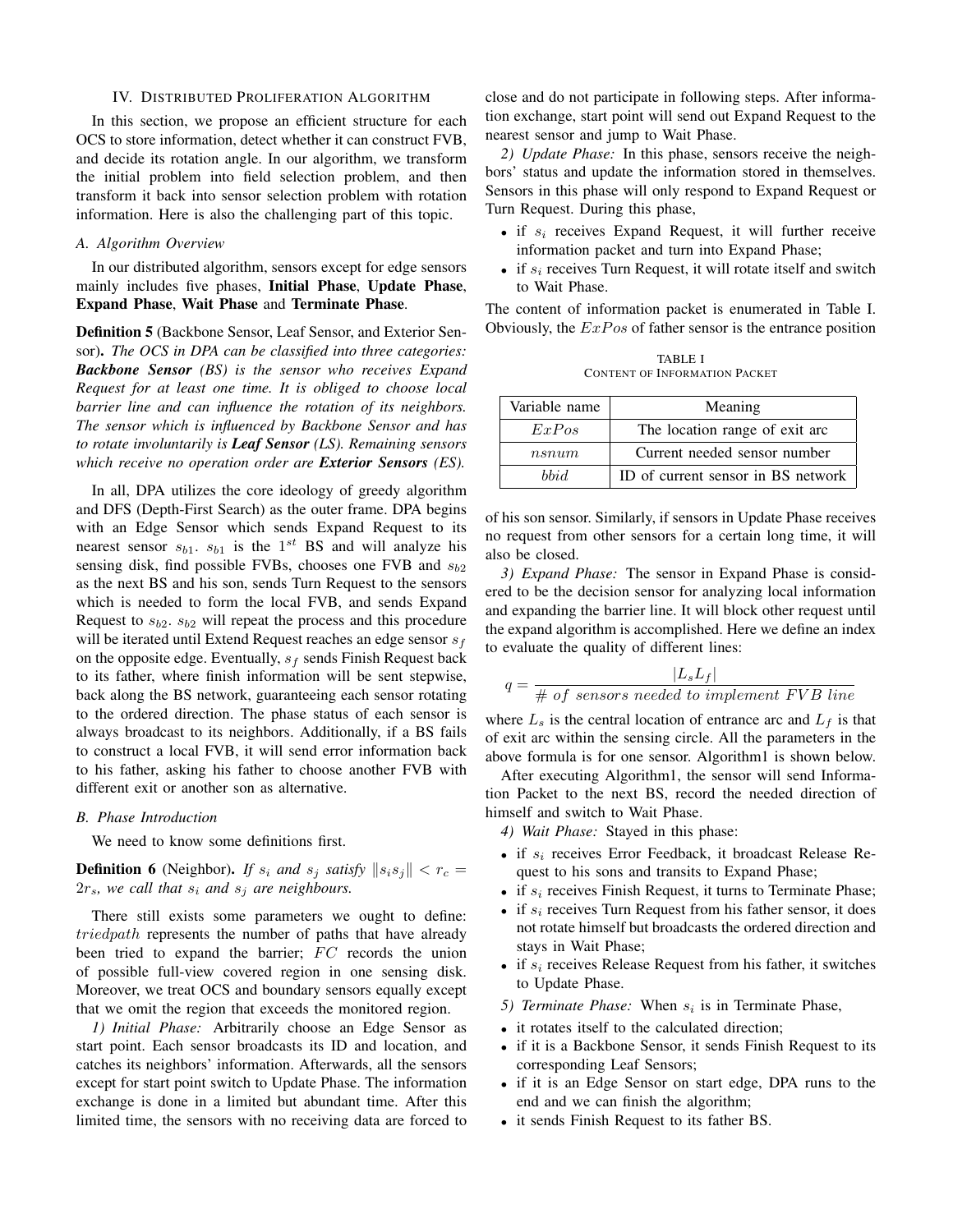#### IV. DISTRIBUTED PROLIFERATION ALGORITHM

In this section, we propose an efficient structure for each OCS to store information, detect whether it can construct FVB, and decide its rotation angle. In our algorithm, we transform the initial problem into field selection problem, and then transform it back into sensor selection problem with rotation information. Here is also the challenging part of this topic.

#### *A. Algorithm Overview*

In our distributed algorithm, sensors except for edge sensors mainly includes five phases, Initial Phase, Update Phase, Expand Phase, Wait Phase and Terminate Phase.

Definition 5 (Backbone Sensor, Leaf Sensor, and Exterior Sensor). *The OCS in DPA can be classified into three categories: Backbone Sensor (BS) is the sensor who receives Expand Request for at least one time. It is obliged to choose local barrier line and can influence the rotation of its neighbors. The sensor which is influenced by Backbone Sensor and has to rotate involuntarily is Leaf Sensor (LS). Remaining sensors which receive no operation order are Exterior Sensors (ES).*

In all, DPA utilizes the core ideology of greedy algorithm and DFS (Depth-First Search) as the outer frame. DPA begins with an Edge Sensor which sends Expand Request to its nearest sensor  $s_{b1}$ .  $s_{b1}$  is the 1<sup>st</sup> BS and will analyze his sensing disk, find possible FVBs, chooses one FVB and  $s_{b2}$ as the next BS and his son, sends Turn Request to the sensors which is needed to form the local FVB, and sends Expand Request to  $s_{b2}$ .  $s_{b2}$  will repeat the process and this procedure will be iterated until Extend Request reaches an edge sensor  $s_f$ on the opposite edge. Eventually,  $s_f$  sends Finish Request back to its father, where finish information will be sent stepwise, back along the BS network, guaranteeing each sensor rotating to the ordered direction. The phase status of each sensor is always broadcast to its neighbors. Additionally, if a BS fails to construct a local FVB, it will send error information back to his father, asking his father to choose another FVB with different exit or another son as alternative.

# *B. Phase Introduction*

We need to know some definitions first.

**Definition 6** (Neighbor). *If*  $s_i$  *and*  $s_j$  *satisfy*  $||s_i s_j|| < r_c$  =  $2r_s$ , we call that  $s_i$  and  $s_j$  are neighbours.

There still exists some parameters we ought to define: triedpath represents the number of paths that have already been tried to expand the barrier;  $FC$  records the union of possible full-view covered region in one sensing disk. Moreover, we treat OCS and boundary sensors equally except that we omit the region that exceeds the monitored region.

*1) Initial Phase:* Arbitrarily choose an Edge Sensor as start point. Each sensor broadcasts its ID and location, and catches its neighbors' information. Afterwards, all the sensors except for start point switch to Update Phase. The information exchange is done in a limited but abundant time. After this limited time, the sensors with no receiving data are forced to close and do not participate in following steps. After information exchange, start point will send out Expand Request to the nearest sensor and jump to Wait Phase.

*2) Update Phase:* In this phase, sensors receive the neighbors' status and update the information stored in themselves. Sensors in this phase will only respond to Expand Request or Turn Request. During this phase,

- if  $s_i$  receives Expand Request, it will further receive information packet and turn into Expand Phase;
- if  $s_i$  receives Turn Request, it will rotate itself and switch to Wait Phase.

The content of information packet is enumerated in Table I. Obviously, the  $ExPos$  of father sensor is the entrance position

| <b>TABLE I</b>                       |  |
|--------------------------------------|--|
| <b>CONTENT OF INFORMATION PACKET</b> |  |

| Variable name | Meaning                            |  |  |
|---------------|------------------------------------|--|--|
| ExPos         | The location range of exit arc     |  |  |
| nsnum         | Current needed sensor number       |  |  |
| bhid.         | ID of current sensor in BS network |  |  |

of his son sensor. Similarly, if sensors in Update Phase receives no request from other sensors for a certain long time, it will also be closed.

*3) Expand Phase:* The sensor in Expand Phase is considered to be the decision sensor for analyzing local information and expanding the barrier line. It will block other request until the expand algorithm is accomplished. Here we define an index to evaluate the quality of different lines:

$$
q = \frac{|L_s L_f|}{\#~of~sensors~needed~to~implement~FVB~line}
$$

where  $L<sub>s</sub>$  is the central location of entrance arc and  $L<sub>f</sub>$  is that of exit arc within the sensing circle. All the parameters in the above formula is for one sensor. Algorithm1 is shown below.

After executing Algorithm1, the sensor will send Information Packet to the next BS, record the needed direction of himself and switch to Wait Phase.

- *4) Wait Phase:* Stayed in this phase:
- if  $s_i$  receives Error Feedback, it broadcast Release Request to his sons and transits to Expand Phase;
- if  $s_i$  receives Finish Request, it turns to Terminate Phase;
- if  $s_i$  receives Turn Request from his father sensor, it does not rotate himself but broadcasts the ordered direction and stays in Wait Phase;
- if  $s_i$  receives Release Request from his father, it switches to Update Phase.
- 5) Terminate Phase: When  $s_i$  is in Terminate Phase,
- it rotates itself to the calculated direction;
- if it is a Backbone Sensor, it sends Finish Request to its corresponding Leaf Sensors;
- if it is an Edge Sensor on start edge, DPA runs to the end and we can finish the algorithm;
- it sends Finish Request to its father BS.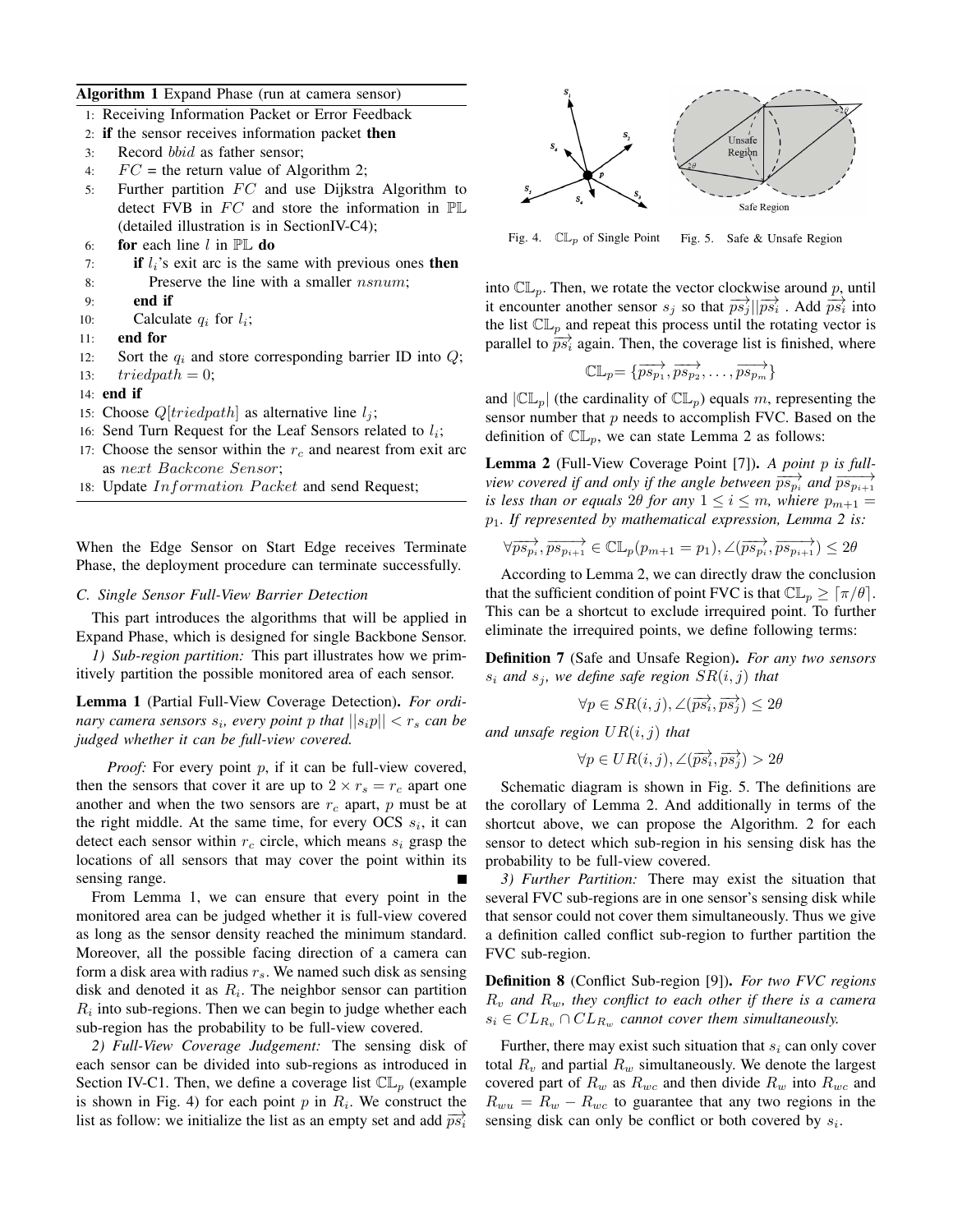Algorithm 1 Expand Phase (run at camera sensor)

- 1: Receiving Information Packet or Error Feedback
- 2: if the sensor receives information packet then
- 3: Record bbid as father sensor;
- 4:  $FC =$  the return value of Algorithm 2;
- 5: Further partition  $FC$  and use Dijkstra Algorithm to detect FVB in  $FC$  and store the information in  $PIL$ (detailed illustration is in SectionIV-C4);
- 6: for each line l in  $\mathbb{PL}$  do
- 7: **if**  $l_i$ 's exit arc is the same with previous ones **then**
- 8: Preserve the line with a smaller *nsnum*;
- 9: end if
- 10: Calculate  $q_i$  for  $l_i$ ;
- 11: end for
- 12: Sort the  $q_i$  and store corresponding barrier ID into  $Q$ ;
- 13:  $triedpath = 0;$
- 14: end if
- 15: Choose  $Q[triedpath]$  as alternative line  $l_i$ ;
- 16: Send Turn Request for the Leaf Sensors related to  $l_i$ ;
- 17: Choose the sensor within the  $r_c$  and nearest from exit arc as next Backcone Sensor;
- 18: Update *Information Packet* and send Request;

When the Edge Sensor on Start Edge receives Terminate Phase, the deployment procedure can terminate successfully.

#### *C. Single Sensor Full-View Barrier Detection*

This part introduces the algorithms that will be applied in Expand Phase, which is designed for single Backbone Sensor.

*1) Sub-region partition:* This part illustrates how we primitively partition the possible monitored area of each sensor.

Lemma 1 (Partial Full-View Coverage Detection). *For ordinary camera sensors*  $s_i$ , every point  $p$  that  $||s_i p|| < r_s$  can be *judged whether it can be full-view covered.*

*Proof:* For every point p, if it can be full-view covered, then the sensors that cover it are up to  $2 \times r_s = r_c$  apart one another and when the two sensors are  $r_c$  apart, p must be at the right middle. At the same time, for every OCS  $s_i$ , it can detect each sensor within  $r_c$  circle, which means  $s_i$  grasp the locations of all sensors that may cover the point within its sensing range.

From Lemma 1, we can ensure that every point in the monitored area can be judged whether it is full-view covered as long as the sensor density reached the minimum standard. Moreover, all the possible facing direction of a camera can form a disk area with radius  $r_s$ . We named such disk as sensing disk and denoted it as  $R_i$ . The neighbor sensor can partition  $R_i$  into sub-regions. Then we can begin to judge whether each sub-region has the probability to be full-view covered.

*2) Full-View Coverage Judgement:* The sensing disk of each sensor can be divided into sub-regions as introduced in Section IV-C1. Then, we define a coverage list  $\mathbb{CL}_p$  (example is shown in Fig. 4) for each point  $p$  in  $R_i$ . We construct the list as follow: we initialize the list as an empty set and add  $\overrightarrow{ps_i}$ 



Fig. 4.  $\mathbb{CL}_p$  of Single Point Fig. 5. Safe & Unsafe Region

into  $\mathbb{CL}_p$ . Then, we rotate the vector clockwise around p, until it encounter another sensor  $s_j$  so that  $\overrightarrow{ps_j} || \overrightarrow{ps_i}$ . Add  $\overrightarrow{ps_i}$  into the list  $\mathbb{CL}_p$  and repeat this process until the rotating vector is parallel to  $\overline{ps_i}$  again. Then, the coverage list is finished, where

$$
\mathbb{CL}_p = \{\overrightarrow{ps_{p_1}}, \overrightarrow{ps_{p_2}}, \ldots, \overrightarrow{ps_{p_m}}\}
$$

and  $|\mathbb{CL}_p|$  (the cardinality of  $\mathbb{CL}_p$ ) equals m, representing the sensor number that  $p$  needs to accomplish FVC. Based on the definition of  $\mathbb{CL}_p$ , we can state Lemma 2 as follows:

Lemma 2 (Full-View Coverage Point [7]). *A point* p *is fullview covered if and only if the angle between*  $\overrightarrow{ps_{p_i}}$  *and*  $\overrightarrow{ps_{p_{i+1}}}$ *is less than or equals*  $2\theta$  *for any*  $1 \leq i \leq m$ *, whiere*  $p_{m+1} =$ p1*. If represented by mathematical expression, Lemma 2 is:*

$$
\forall \overrightarrow{ps_{p_i}}, \overrightarrow{ps_{p_{i+1}}} \in \mathbb{CL}_p(p_{m+1} = p_1), \angle(\overrightarrow{ps_{p_i}}, \overrightarrow{ps_{p_{i+1}}}) \leq 2\theta
$$

According to Lemma 2, we can directly draw the conclusion that the sufficient condition of point FVC is that  $\mathbb{CL}_p \geq \lceil \pi/\theta \rceil$ . This can be a shortcut to exclude irrequired point. To further eliminate the irrequired points, we define following terms:

Definition 7 (Safe and Unsafe Region). *For any two sensors*  $s_i$  and  $s_j$ , we define safe region  $SR(i, j)$  that

$$
\forall p \in SR(i, j), \angle(\overrightarrow{ps_i}, \overrightarrow{ps_j}) \le 2\theta
$$

*and unsafe region* UR(i, j) *that*

$$
\forall p \in UR(i, j), \angle(\overrightarrow{ps_i}, \overrightarrow{ps_j}) > 2\theta
$$

Schematic diagram is shown in Fig. 5. The definitions are the corollary of Lemma 2. And additionally in terms of the shortcut above, we can propose the Algorithm. 2 for each sensor to detect which sub-region in his sensing disk has the probability to be full-view covered.

*3) Further Partition:* There may exist the situation that several FVC sub-regions are in one sensor's sensing disk while that sensor could not cover them simultaneously. Thus we give a definition called conflict sub-region to further partition the FVC sub-region.

Definition 8 (Conflict Sub-region [9]). *For two FVC regions* R<sup>v</sup> *and* Rw*, they conflict to each other if there is a camera*  $s_i \in CL_{R_v} \cap CL_{R_w}$  *cannot cover them simultaneously.* 

Further, there may exist such situation that  $s_i$  can only cover total  $R_v$  and partial  $R_w$  simultaneously. We denote the largest covered part of  $R_w$  as  $R_{wc}$  and then divide  $R_w$  into  $R_{wc}$  and  $R_{wu} = R_w - R_{wc}$  to guarantee that any two regions in the sensing disk can only be conflict or both covered by  $s_i$ .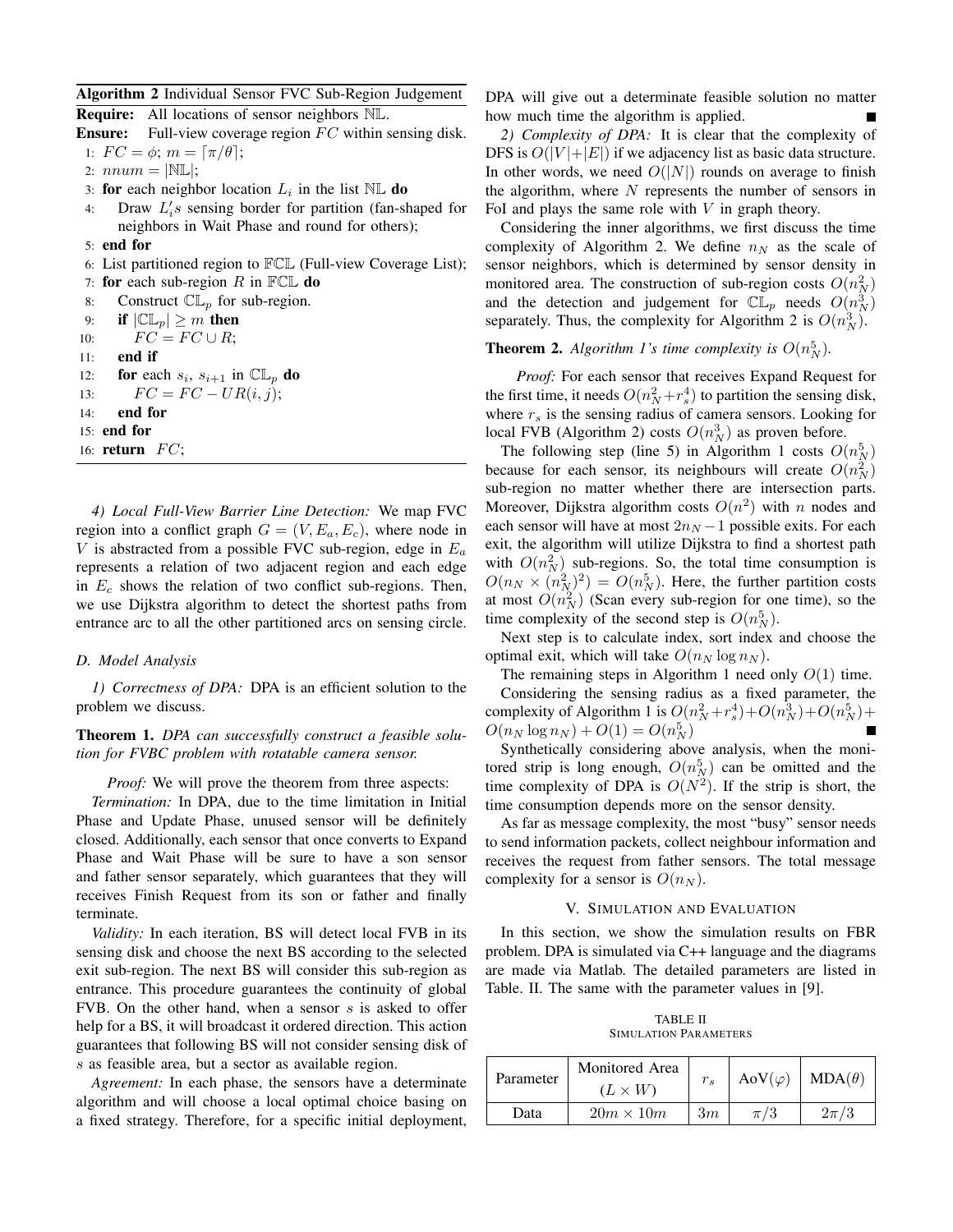Algorithm 2 Individual Sensor FVC Sub-Region Judgement

Require: All locations of sensor neighbors NL.

**Ensure:** Full-view coverage region  $FC$  within sensing disk. 1:  $FC = \phi$ ;  $m = \lceil \pi/\theta \rceil$ ;

- 2:  $nnum = |\mathbb{NL}|;$
- 3: for each neighbor location  $L_i$  in the list  $N\mathbb{L}$  do
- 4: Draw  $L_i$ 's sensing border for partition (fan-shaped for neighbors in Wait Phase and round for others);
- 5: end for
- 6: List partitioned region to FCL (Full-view Coverage List);
- 7: for each sub-region R in  $\mathbb{FCL}$  do
- 8: Construct  $\mathbb{CL}_p$  for sub-region.

9: if  $|\mathbb{CL}_p| \geq m$  then 10:  $FC = FC \cup R;$ 

- 
- 11: end if
- 12: **for** each  $s_i$ ,  $s_{i+1}$  in  $\mathbb{CL}_p$  **do** 13:  $FC = FC - UR(i, j);$
- 14: end for
- 15: end for
- 16: return  $FC$ ;

*4) Local Full-View Barrier Line Detection:* We map FVC region into a conflict graph  $G = (V, E_a, E_c)$ , where node in V is abstracted from a possible FVC sub-region, edge in  $E_a$ represents a relation of two adjacent region and each edge in  $E_c$  shows the relation of two conflict sub-regions. Then, we use Dijkstra algorithm to detect the shortest paths from entrance arc to all the other partitioned arcs on sensing circle.

# *D. Model Analysis*

*1) Correctness of DPA:* DPA is an efficient solution to the problem we discuss.

Theorem 1. *DPA can successfully construct a feasible solution for FVBC problem with rotatable camera sensor.*

*Proof:* We will prove the theorem from three aspects:

*Termination:* In DPA, due to the time limitation in Initial Phase and Update Phase, unused sensor will be definitely closed. Additionally, each sensor that once converts to Expand Phase and Wait Phase will be sure to have a son sensor and father sensor separately, which guarantees that they will receives Finish Request from its son or father and finally terminate.

*Validity:* In each iteration, BS will detect local FVB in its sensing disk and choose the next BS according to the selected exit sub-region. The next BS will consider this sub-region as entrance. This procedure guarantees the continuity of global FVB. On the other hand, when a sensor  $s$  is asked to offer help for a BS, it will broadcast it ordered direction. This action guarantees that following BS will not consider sensing disk of s as feasible area, but a sector as available region.

*Agreement:* In each phase, the sensors have a determinate algorithm and will choose a local optimal choice basing on a fixed strategy. Therefore, for a specific initial deployment,

DPA will give out a determinate feasible solution no matter how much time the algorithm is applied.

*2) Complexity of DPA:* It is clear that the complexity of DFS is  $O(|V|+|E|)$  if we adjacency list as basic data structure. In other words, we need  $O(|N|)$  rounds on average to finish the algorithm, where  $N$  represents the number of sensors in FoI and plays the same role with  $V$  in graph theory.

Considering the inner algorithms, we first discuss the time complexity of Algorithm 2. We define  $n<sub>N</sub>$  as the scale of sensor neighbors, which is determined by sensor density in monitored area. The construction of sub-region costs  $O(n_N^2)$ and the detection and judgement for  $\mathbb{CL}_p$  needs  $O(n_N^3)$ separately. Thus, the complexity for Algorithm 2 is  $O(n_N^3)$ .

# **Theorem 2.** Algorithm 1's time complexity is  $O(n_N^5)$ .

*Proof:* For each sensor that receives Expand Request for the first time, it needs  $O(n_N^2 + r_s^4)$  to partition the sensing disk, where  $r<sub>s</sub>$  is the sensing radius of camera sensors. Looking for local FVB (Algorithm 2) costs  $O(n_N^3)$  as proven before.

The following step (line 5) in Algorithm 1 costs  $O(n_N^5)$ because for each sensor, its neighbours will create  $O(n_N^2)$ sub-region no matter whether there are intersection parts. Moreover, Dijkstra algorithm costs  $O(n^2)$  with n nodes and each sensor will have at most  $2n_N - 1$  possible exits. For each exit, the algorithm will utilize Dijkstra to find a shortest path with  $O(n_N^2)$  sub-regions. So, the total time consumption is  $O(n_N \times (n_N^2)^2) = O(n_N^5)$ . Here, the further partition costs at most  $O(n_N^2)$  (Scan every sub-region for one time), so the time complexity of the second step is  $O(n_N^5)$ .

Next step is to calculate index, sort index and choose the optimal exit, which will take  $O(n_N \log n_N)$ .

The remaining steps in Algorithm 1 need only  $O(1)$  time.

Considering the sensing radius as a fixed parameter, the complexity of Algorithm 1 is  $O(n_N^2 + r_s^4) + O(n_N^3) + O(n_N^5) +$  $O(n_N \log n_N) + O(1) = O(n_N^5)$ 

Synthetically considering above analysis, when the monitored strip is long enough,  $O(n_N^5)$  can be omitted and the time complexity of DPA is  $O(N^2)$ . If the strip is short, the time consumption depends more on the sensor density.

As far as message complexity, the most "busy" sensor needs to send information packets, collect neighbour information and receives the request from father sensors. The total message complexity for a sensor is  $O(n<sub>N</sub>)$ .

# V. SIMULATION AND EVALUATION

In this section, we show the simulation results on FBR problem. DPA is simulated via C++ language and the diagrams are made via Matlab. The detailed parameters are listed in Table. II. The same with the parameter values in [9].

TABLE II SIMULATION PARAMETERS

| Parameter | Monitored Area<br>$(L \times W)$ |    | AoV $(\varphi)$ | $MDA(\theta)$ |
|-----------|----------------------------------|----|-----------------|---------------|
| Data      | $20m \times 10m$                 | 3m | $\pi/3$         | $2\pi/3$      |